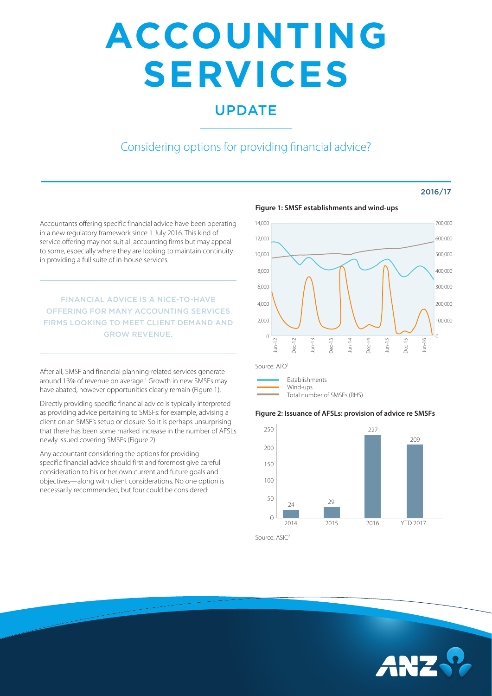# **ACCOUNTING SERVICES**

## UPDATE

## Considering options for providing financial advice?

#### 2016/17

Accountants offering specific financial advice have been operating in a new regulatory framework since 1 July 2016. This kind of service offering may not suit all accounting firms but may appeal to some, especially where they are looking to maintain continuity in providing a full suite of in-house services.

FINANCIAL ADVICE IS A NICE-TO-HAVE OFFERING FOR MANY ACCOUNTING SERVICES FIRMS LOOKING TO MEET CLIENT DEMAND AND GROW REVENUE.

After all, SMSF and financial planning-related services generate around 13% of revenue on average.<sup>1</sup> Growth in new SMSFs may have abated, however opportunities clearly remain (Figure 1).

Directly providing specific financial advice is typically interpreted as providing advice pertaining to SMSFs: for example, advising a client on an SMSF's setup or closure. So it is perhaps unsurprising that there has been some marked increase in the number of AFSLs newly issued covering SMSFs (Figure 2).

Any accountant considering the options for providing specific financial advice should first and foremost give careful consideration to his or her own current and future goals and objectives—along with client considerations. No one option is necessarily recommended, but four could be considered:



**Figure 1: SMSF establishments and wind-ups**

Source: ATO<sup>1</sup>

Establishments Wind-ups Total number of SMSFs (RHS)

### **Figure 2: Issuance of AFSLs: provision of advice re SMSFs**



Source: ASIC2